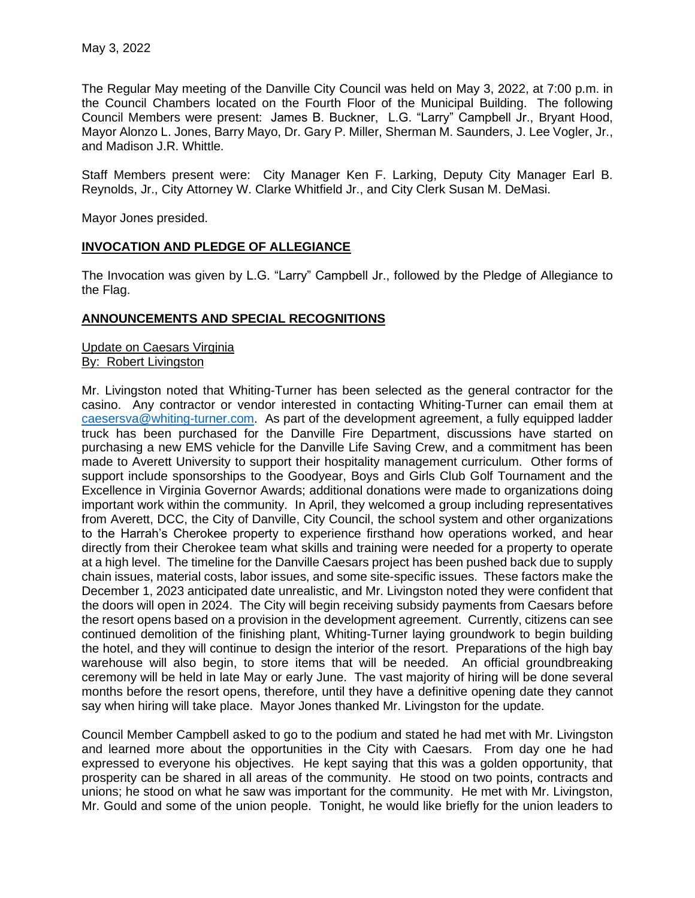The Regular May meeting of the Danville City Council was held on May 3, 2022, at 7:00 p.m. in the Council Chambers located on the Fourth Floor of the Municipal Building. The following Council Members were present: James B. Buckner, L.G. "Larry" Campbell Jr., Bryant Hood, Mayor Alonzo L. Jones, Barry Mayo, Dr. Gary P. Miller, Sherman M. Saunders, J. Lee Vogler, Jr., and Madison J.R. Whittle.

Staff Members present were: City Manager Ken F. Larking, Deputy City Manager Earl B. Reynolds, Jr., City Attorney W. Clarke Whitfield Jr., and City Clerk Susan M. DeMasi.

Mayor Jones presided.

# **INVOCATION AND PLEDGE OF ALLEGIANCE**

The Invocation was given by L.G. "Larry" Campbell Jr., followed by the Pledge of Allegiance to the Flag.

## **ANNOUNCEMENTS AND SPECIAL RECOGNITIONS**

Update on Caesars Virginia By: Robert Livingston

Mr. Livingston noted that Whiting-Turner has been selected as the general contractor for the casino. Any contractor or vendor interested in contacting Whiting-Turner can email them at [caesersva@whiting-turner.com.](mailto:caesersva@whiting-turner.com) As part of the development agreement, a fully equipped ladder truck has been purchased for the Danville Fire Department, discussions have started on purchasing a new EMS vehicle for the Danville Life Saving Crew, and a commitment has been made to Averett University to support their hospitality management curriculum. Other forms of support include sponsorships to the Goodyear, Boys and Girls Club Golf Tournament and the Excellence in Virginia Governor Awards; additional donations were made to organizations doing important work within the community. In April, they welcomed a group including representatives from Averett, DCC, the City of Danville, City Council, the school system and other organizations to the Harrah's Cherokee property to experience firsthand how operations worked, and hear directly from their Cherokee team what skills and training were needed for a property to operate at a high level. The timeline for the Danville Caesars project has been pushed back due to supply chain issues, material costs, labor issues, and some site-specific issues. These factors make the December 1, 2023 anticipated date unrealistic, and Mr. Livingston noted they were confident that the doors will open in 2024. The City will begin receiving subsidy payments from Caesars before the resort opens based on a provision in the development agreement. Currently, citizens can see continued demolition of the finishing plant, Whiting-Turner laying groundwork to begin building the hotel, and they will continue to design the interior of the resort. Preparations of the high bay warehouse will also begin, to store items that will be needed. An official groundbreaking ceremony will be held in late May or early June. The vast majority of hiring will be done several months before the resort opens, therefore, until they have a definitive opening date they cannot say when hiring will take place. Mayor Jones thanked Mr. Livingston for the update.

Council Member Campbell asked to go to the podium and stated he had met with Mr. Livingston and learned more about the opportunities in the City with Caesars. From day one he had expressed to everyone his objectives. He kept saying that this was a golden opportunity, that prosperity can be shared in all areas of the community. He stood on two points, contracts and unions; he stood on what he saw was important for the community. He met with Mr. Livingston, Mr. Gould and some of the union people. Tonight, he would like briefly for the union leaders to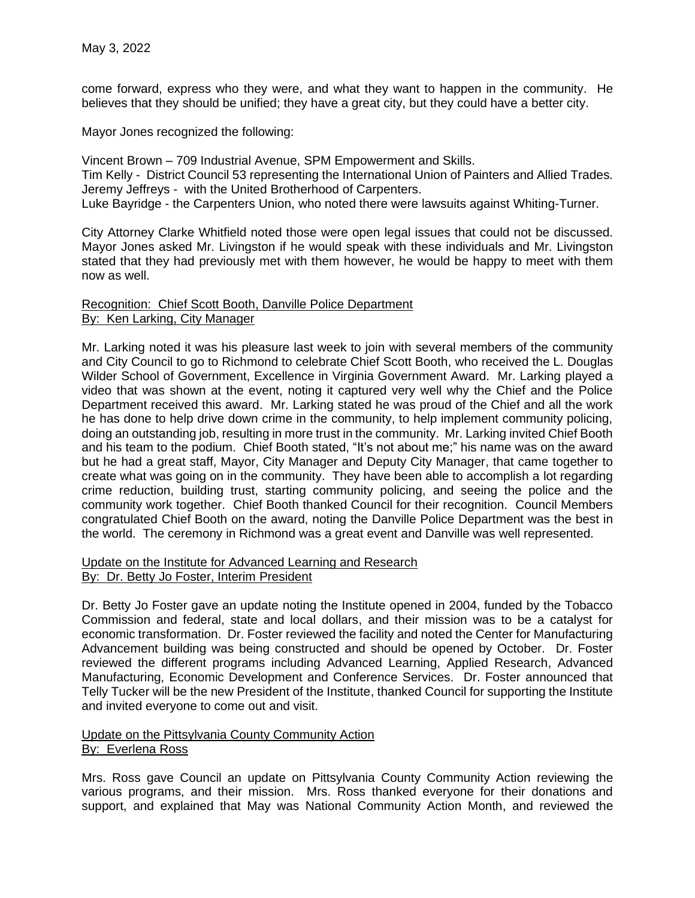come forward, express who they were, and what they want to happen in the community. He believes that they should be unified; they have a great city, but they could have a better city.

Mayor Jones recognized the following:

Vincent Brown – 709 Industrial Avenue, SPM Empowerment and Skills. Tim Kelly - District Council 53 representing the International Union of Painters and Allied Trades. Jeremy Jeffreys - with the United Brotherhood of Carpenters. Luke Bayridge - the Carpenters Union, who noted there were lawsuits against Whiting-Turner.

City Attorney Clarke Whitfield noted those were open legal issues that could not be discussed. Mayor Jones asked Mr. Livingston if he would speak with these individuals and Mr. Livingston stated that they had previously met with them however, he would be happy to meet with them now as well.

### Recognition: Chief Scott Booth, Danville Police Department By: Ken Larking, City Manager

Mr. Larking noted it was his pleasure last week to join with several members of the community and City Council to go to Richmond to celebrate Chief Scott Booth, who received the L. Douglas Wilder School of Government, Excellence in Virginia Government Award. Mr. Larking played a video that was shown at the event, noting it captured very well why the Chief and the Police Department received this award. Mr. Larking stated he was proud of the Chief and all the work he has done to help drive down crime in the community, to help implement community policing, doing an outstanding job, resulting in more trust in the community. Mr. Larking invited Chief Booth and his team to the podium. Chief Booth stated, "It's not about me;" his name was on the award but he had a great staff, Mayor, City Manager and Deputy City Manager, that came together to create what was going on in the community. They have been able to accomplish a lot regarding crime reduction, building trust, starting community policing, and seeing the police and the community work together. Chief Booth thanked Council for their recognition. Council Members congratulated Chief Booth on the award, noting the Danville Police Department was the best in the world. The ceremony in Richmond was a great event and Danville was well represented.

### Update on the Institute for Advanced Learning and Research By: Dr. Betty Jo Foster, Interim President

Dr. Betty Jo Foster gave an update noting the Institute opened in 2004, funded by the Tobacco Commission and federal, state and local dollars, and their mission was to be a catalyst for economic transformation. Dr. Foster reviewed the facility and noted the Center for Manufacturing Advancement building was being constructed and should be opened by October. Dr. Foster reviewed the different programs including Advanced Learning, Applied Research, Advanced Manufacturing, Economic Development and Conference Services. Dr. Foster announced that Telly Tucker will be the new President of the Institute, thanked Council for supporting the Institute and invited everyone to come out and visit.

## Update on the Pittsylvania County Community Action By: Everlena Ross

Mrs. Ross gave Council an update on Pittsylvania County Community Action reviewing the various programs, and their mission. Mrs. Ross thanked everyone for their donations and support, and explained that May was National Community Action Month, and reviewed the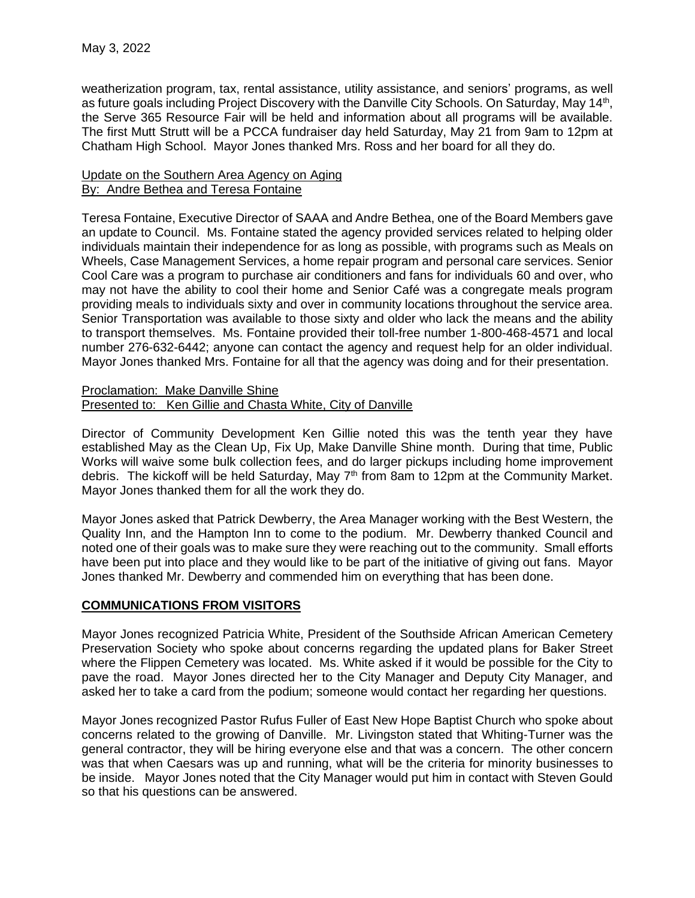weatherization program, tax, rental assistance, utility assistance, and seniors' programs, as well as future goals including Project Discovery with the Danville City Schools. On Saturday, May 14<sup>th</sup>, the Serve 365 Resource Fair will be held and information about all programs will be available. The first Mutt Strutt will be a PCCA fundraiser day held Saturday, May 21 from 9am to 12pm at Chatham High School. Mayor Jones thanked Mrs. Ross and her board for all they do.

### Update on the Southern Area Agency on Aging By: Andre Bethea and Teresa Fontaine

Teresa Fontaine, Executive Director of SAAA and Andre Bethea, one of the Board Members gave an update to Council. Ms. Fontaine stated the agency provided services related to helping older individuals maintain their independence for as long as possible, with programs such as Meals on Wheels, Case Management Services, a home repair program and personal care services. Senior Cool Care was a program to purchase air conditioners and fans for individuals 60 and over, who may not have the ability to cool their home and Senior Café was a congregate meals program providing meals to individuals sixty and over in community locations throughout the service area. Senior Transportation was available to those sixty and older who lack the means and the ability to transport themselves. Ms. Fontaine provided their toll-free number 1-800-468-4571 and local number 276-632-6442; anyone can contact the agency and request help for an older individual. Mayor Jones thanked Mrs. Fontaine for all that the agency was doing and for their presentation.

### Proclamation: Make Danville Shine Presented to: Ken Gillie and Chasta White, City of Danville

Director of Community Development Ken Gillie noted this was the tenth year they have established May as the Clean Up, Fix Up, Make Danville Shine month. During that time, Public Works will waive some bulk collection fees, and do larger pickups including home improvement debris. The kickoff will be held Saturday, May  $7<sup>th</sup>$  from 8am to 12pm at the Community Market. Mayor Jones thanked them for all the work they do.

Mayor Jones asked that Patrick Dewberry, the Area Manager working with the Best Western, the Quality Inn, and the Hampton Inn to come to the podium. Mr. Dewberry thanked Council and noted one of their goals was to make sure they were reaching out to the community. Small efforts have been put into place and they would like to be part of the initiative of giving out fans. Mayor Jones thanked Mr. Dewberry and commended him on everything that has been done.

### **COMMUNICATIONS FROM VISITORS**

Mayor Jones recognized Patricia White, President of the Southside African American Cemetery Preservation Society who spoke about concerns regarding the updated plans for Baker Street where the Flippen Cemetery was located. Ms. White asked if it would be possible for the City to pave the road. Mayor Jones directed her to the City Manager and Deputy City Manager, and asked her to take a card from the podium; someone would contact her regarding her questions.

Mayor Jones recognized Pastor Rufus Fuller of East New Hope Baptist Church who spoke about concerns related to the growing of Danville. Mr. Livingston stated that Whiting-Turner was the general contractor, they will be hiring everyone else and that was a concern. The other concern was that when Caesars was up and running, what will be the criteria for minority businesses to be inside. Mayor Jones noted that the City Manager would put him in contact with Steven Gould so that his questions can be answered.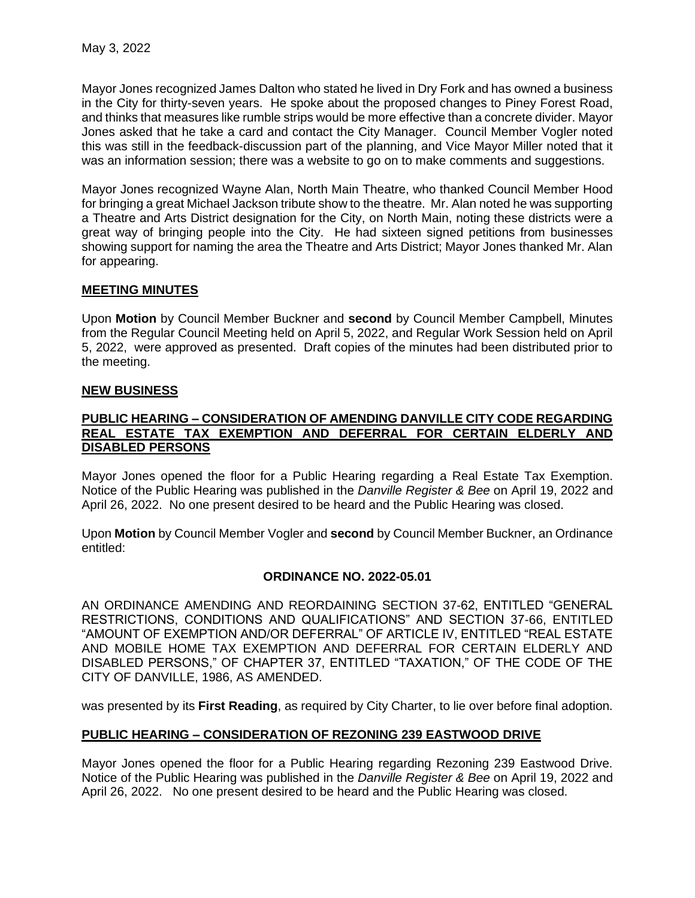Mayor Jones recognized James Dalton who stated he lived in Dry Fork and has owned a business in the City for thirty-seven years. He spoke about the proposed changes to Piney Forest Road, and thinks that measures like rumble strips would be more effective than a concrete divider. Mayor Jones asked that he take a card and contact the City Manager. Council Member Vogler noted this was still in the feedback-discussion part of the planning, and Vice Mayor Miller noted that it was an information session; there was a website to go on to make comments and suggestions.

Mayor Jones recognized Wayne Alan, North Main Theatre, who thanked Council Member Hood for bringing a great Michael Jackson tribute show to the theatre. Mr. Alan noted he was supporting a Theatre and Arts District designation for the City, on North Main, noting these districts were a great way of bringing people into the City. He had sixteen signed petitions from businesses showing support for naming the area the Theatre and Arts District; Mayor Jones thanked Mr. Alan for appearing.

# **MEETING MINUTES**

Upon **Motion** by Council Member Buckner and **second** by Council Member Campbell, Minutes from the Regular Council Meeting held on April 5, 2022, and Regular Work Session held on April 5, 2022, were approved as presented. Draft copies of the minutes had been distributed prior to the meeting.

# **NEW BUSINESS**

### **PUBLIC HEARING – CONSIDERATION OF AMENDING DANVILLE CITY CODE REGARDING REAL ESTATE TAX EXEMPTION AND DEFERRAL FOR CERTAIN ELDERLY AND DISABLED PERSONS**

Mayor Jones opened the floor for a Public Hearing regarding a Real Estate Tax Exemption. Notice of the Public Hearing was published in the *Danville Register & Bee* on April 19, 2022 and April 26, 2022. No one present desired to be heard and the Public Hearing was closed.

Upon **Motion** by Council Member Vogler and **second** by Council Member Buckner, an Ordinance entitled:

# **ORDINANCE NO. 2022-05.01**

AN ORDINANCE AMENDING AND REORDAINING SECTION 37-62, ENTITLED "GENERAL RESTRICTIONS, CONDITIONS AND QUALIFICATIONS" AND SECTION 37-66, ENTITLED "AMOUNT OF EXEMPTION AND/OR DEFERRAL" OF ARTICLE IV, ENTITLED "REAL ESTATE AND MOBILE HOME TAX EXEMPTION AND DEFERRAL FOR CERTAIN ELDERLY AND DISABLED PERSONS," OF CHAPTER 37, ENTITLED "TAXATION," OF THE CODE OF THE CITY OF DANVILLE, 1986, AS AMENDED.

was presented by its **First Reading**, as required by City Charter, to lie over before final adoption.

# **PUBLIC HEARING – CONSIDERATION OF REZONING 239 EASTWOOD DRIVE**

Mayor Jones opened the floor for a Public Hearing regarding Rezoning 239 Eastwood Drive. Notice of the Public Hearing was published in the *Danville Register & Bee* on April 19, 2022 and April 26, 2022. No one present desired to be heard and the Public Hearing was closed.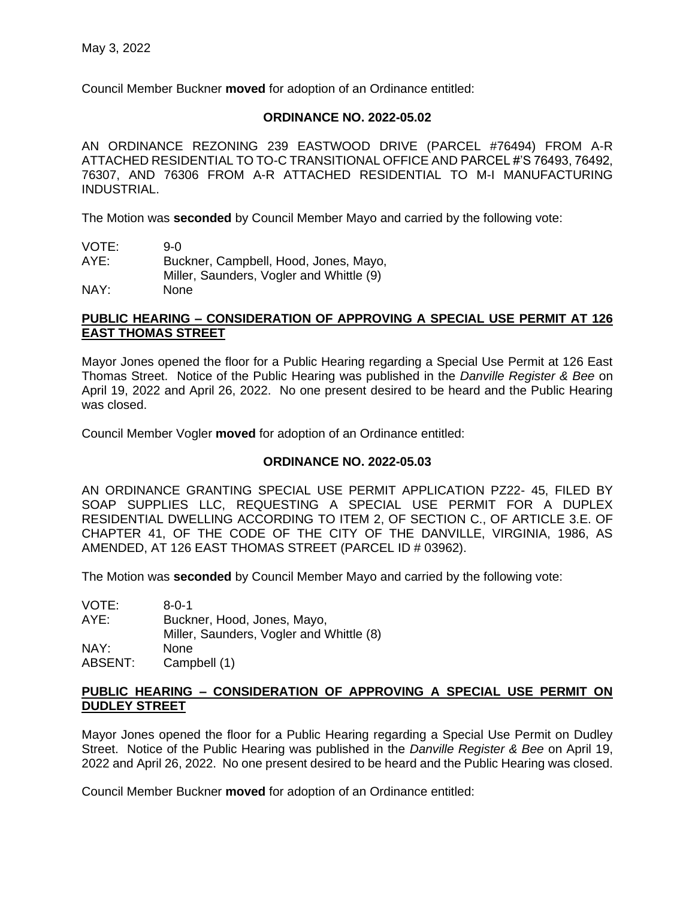Council Member Buckner **moved** for adoption of an Ordinance entitled:

## **ORDINANCE NO. 2022-05.02**

AN ORDINANCE REZONING 239 EASTWOOD DRIVE (PARCEL #76494) FROM A-R ATTACHED RESIDENTIAL TO TO-C TRANSITIONAL OFFICE AND PARCEL #'S 76493, 76492, 76307, AND 76306 FROM A-R ATTACHED RESIDENTIAL TO M-I MANUFACTURING INDUSTRIAL.

The Motion was **seconded** by Council Member Mayo and carried by the following vote:

| VOTE: | 9-0                                      |
|-------|------------------------------------------|
| AYE:  | Buckner, Campbell, Hood, Jones, Mayo,    |
|       | Miller, Saunders, Vogler and Whittle (9) |
| NAY:  | None                                     |

## **PUBLIC HEARING – CONSIDERATION OF APPROVING A SPECIAL USE PERMIT AT 126 EAST THOMAS STREET**

Mayor Jones opened the floor for a Public Hearing regarding a Special Use Permit at 126 East Thomas Street. Notice of the Public Hearing was published in the *Danville Register & Bee* on April 19, 2022 and April 26, 2022. No one present desired to be heard and the Public Hearing was closed.

Council Member Vogler **moved** for adoption of an Ordinance entitled:

# **ORDINANCE NO. 2022-05.03**

AN ORDINANCE GRANTING SPECIAL USE PERMIT APPLICATION PZ22- 45, FILED BY SOAP SUPPLIES LLC, REQUESTING A SPECIAL USE PERMIT FOR A DUPLEX RESIDENTIAL DWELLING ACCORDING TO ITEM 2, OF SECTION C., OF ARTICLE 3.E. OF CHAPTER 41, OF THE CODE OF THE CITY OF THE DANVILLE, VIRGINIA, 1986, AS AMENDED, AT 126 EAST THOMAS STREET (PARCEL ID # 03962).

The Motion was **seconded** by Council Member Mayo and carried by the following vote:

VOTE: 8-0-1 AYE: Buckner, Hood, Jones, Mayo, Miller, Saunders, Vogler and Whittle (8) NAY: None<br>ABSENT: Camp Campbell (1)

## **PUBLIC HEARING – CONSIDERATION OF APPROVING A SPECIAL USE PERMIT ON DUDLEY STREET**

Mayor Jones opened the floor for a Public Hearing regarding a Special Use Permit on Dudley Street. Notice of the Public Hearing was published in the *Danville Register & Bee* on April 19, 2022 and April 26, 2022. No one present desired to be heard and the Public Hearing was closed.

Council Member Buckner **moved** for adoption of an Ordinance entitled: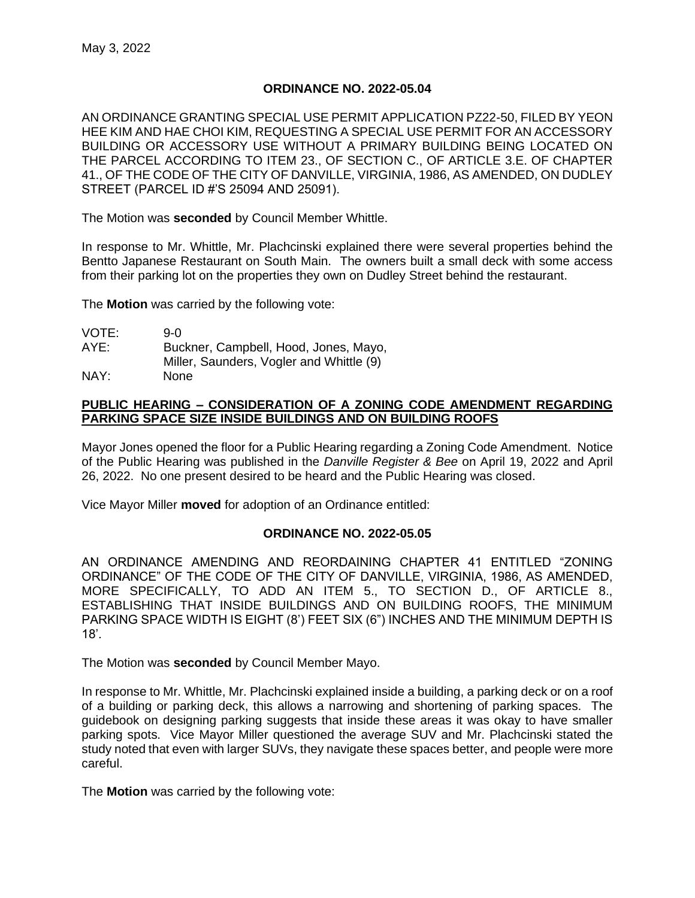### **ORDINANCE NO. 2022-05.04**

AN ORDINANCE GRANTING SPECIAL USE PERMIT APPLICATION PZ22-50, FILED BY YEON HEE KIM AND HAE CHOI KIM, REQUESTING A SPECIAL USE PERMIT FOR AN ACCESSORY BUILDING OR ACCESSORY USE WITHOUT A PRIMARY BUILDING BEING LOCATED ON THE PARCEL ACCORDING TO ITEM 23., OF SECTION C., OF ARTICLE 3.E. OF CHAPTER 41., OF THE CODE OF THE CITY OF DANVILLE, VIRGINIA, 1986, AS AMENDED, ON DUDLEY STREET (PARCEL ID #'S 25094 AND 25091).

The Motion was **seconded** by Council Member Whittle.

In response to Mr. Whittle, Mr. Plachcinski explained there were several properties behind the Bentto Japanese Restaurant on South Main. The owners built a small deck with some access from their parking lot on the properties they own on Dudley Street behind the restaurant.

The **Motion** was carried by the following vote:

| VOTE: | 9-0                                      |
|-------|------------------------------------------|
| AYE:  | Buckner, Campbell, Hood, Jones, Mayo,    |
|       | Miller, Saunders, Vogler and Whittle (9) |
| NAY:  | <b>None</b>                              |

## **PUBLIC HEARING – CONSIDERATION OF A ZONING CODE AMENDMENT REGARDING PARKING SPACE SIZE INSIDE BUILDINGS AND ON BUILDING ROOFS**

Mayor Jones opened the floor for a Public Hearing regarding a Zoning Code Amendment. Notice of the Public Hearing was published in the *Danville Register & Bee* on April 19, 2022 and April 26, 2022. No one present desired to be heard and the Public Hearing was closed.

Vice Mayor Miller **moved** for adoption of an Ordinance entitled:

### **ORDINANCE NO. 2022-05.05**

AN ORDINANCE AMENDING AND REORDAINING CHAPTER 41 ENTITLED "ZONING ORDINANCE" OF THE CODE OF THE CITY OF DANVILLE, VIRGINIA, 1986, AS AMENDED, MORE SPECIFICALLY, TO ADD AN ITEM 5., TO SECTION D., OF ARTICLE 8., ESTABLISHING THAT INSIDE BUILDINGS AND ON BUILDING ROOFS, THE MINIMUM PARKING SPACE WIDTH IS EIGHT (8') FEET SIX (6") INCHES AND THE MINIMUM DEPTH IS 18'.

The Motion was **seconded** by Council Member Mayo.

In response to Mr. Whittle, Mr. Plachcinski explained inside a building, a parking deck or on a roof of a building or parking deck, this allows a narrowing and shortening of parking spaces. The guidebook on designing parking suggests that inside these areas it was okay to have smaller parking spots. Vice Mayor Miller questioned the average SUV and Mr. Plachcinski stated the study noted that even with larger SUVs, they navigate these spaces better, and people were more careful.

The **Motion** was carried by the following vote: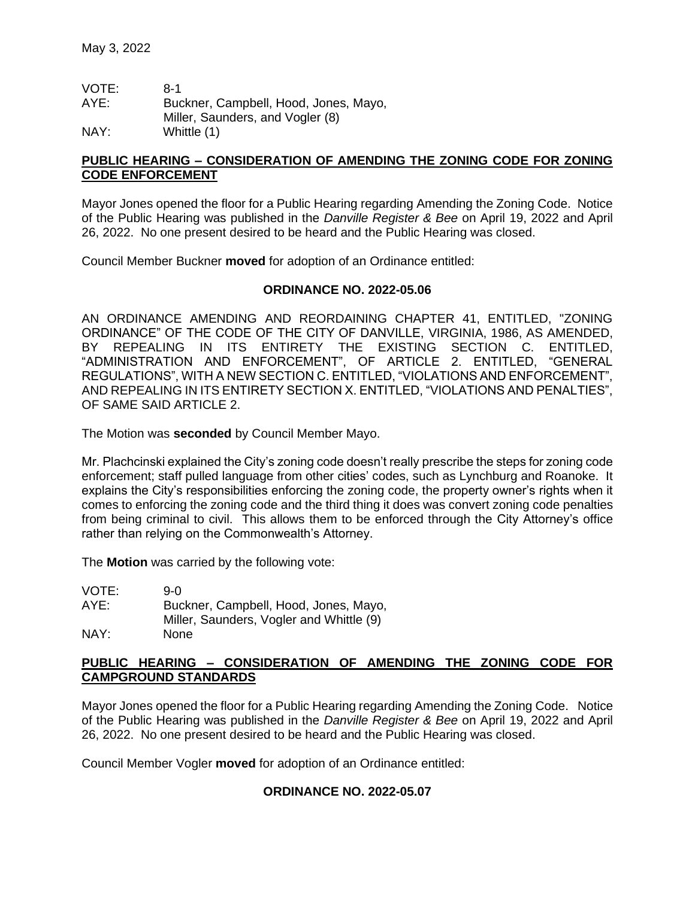| VOTE: | 8-1                                   |
|-------|---------------------------------------|
| AYE:  | Buckner, Campbell, Hood, Jones, Mayo, |
|       | Miller, Saunders, and Vogler (8)      |
| NAY:  | Whittle (1)                           |

## **PUBLIC HEARING – CONSIDERATION OF AMENDING THE ZONING CODE FOR ZONING CODE ENFORCEMENT**

Mayor Jones opened the floor for a Public Hearing regarding Amending the Zoning Code. Notice of the Public Hearing was published in the *Danville Register & Bee* on April 19, 2022 and April 26, 2022. No one present desired to be heard and the Public Hearing was closed.

Council Member Buckner **moved** for adoption of an Ordinance entitled:

### **ORDINANCE NO. 2022-05.06**

AN ORDINANCE AMENDING AND REORDAINING CHAPTER 41, ENTITLED, "ZONING ORDINANCE" OF THE CODE OF THE CITY OF DANVILLE, VIRGINIA, 1986, AS AMENDED, BY REPEALING IN ITS ENTIRETY THE EXISTING SECTION C. ENTITLED, "ADMINISTRATION AND ENFORCEMENT", OF ARTICLE 2. ENTITLED, "GENERAL REGULATIONS", WITH A NEW SECTION C. ENTITLED, "VIOLATIONS AND ENFORCEMENT", AND REPEALING IN ITS ENTIRETY SECTION X. ENTITLED, "VIOLATIONS AND PENALTIES", OF SAME SAID ARTICLE 2.

The Motion was **seconded** by Council Member Mayo.

Mr. Plachcinski explained the City's zoning code doesn't really prescribe the steps for zoning code enforcement; staff pulled language from other cities' codes, such as Lynchburg and Roanoke. It explains the City's responsibilities enforcing the zoning code, the property owner's rights when it comes to enforcing the zoning code and the third thing it does was convert zoning code penalties from being criminal to civil. This allows them to be enforced through the City Attorney's office rather than relying on the Commonwealth's Attorney.

The **Motion** was carried by the following vote:

VOTE: 9-0 AYE: Buckner, Campbell, Hood, Jones, Mayo, Miller, Saunders, Vogler and Whittle (9) NAY: None

# **PUBLIC HEARING – CONSIDERATION OF AMENDING THE ZONING CODE FOR CAMPGROUND STANDARDS**

Mayor Jones opened the floor for a Public Hearing regarding Amending the Zoning Code. Notice of the Public Hearing was published in the *Danville Register & Bee* on April 19, 2022 and April 26, 2022. No one present desired to be heard and the Public Hearing was closed.

Council Member Vogler **moved** for adoption of an Ordinance entitled:

### **ORDINANCE NO. 2022-05.07**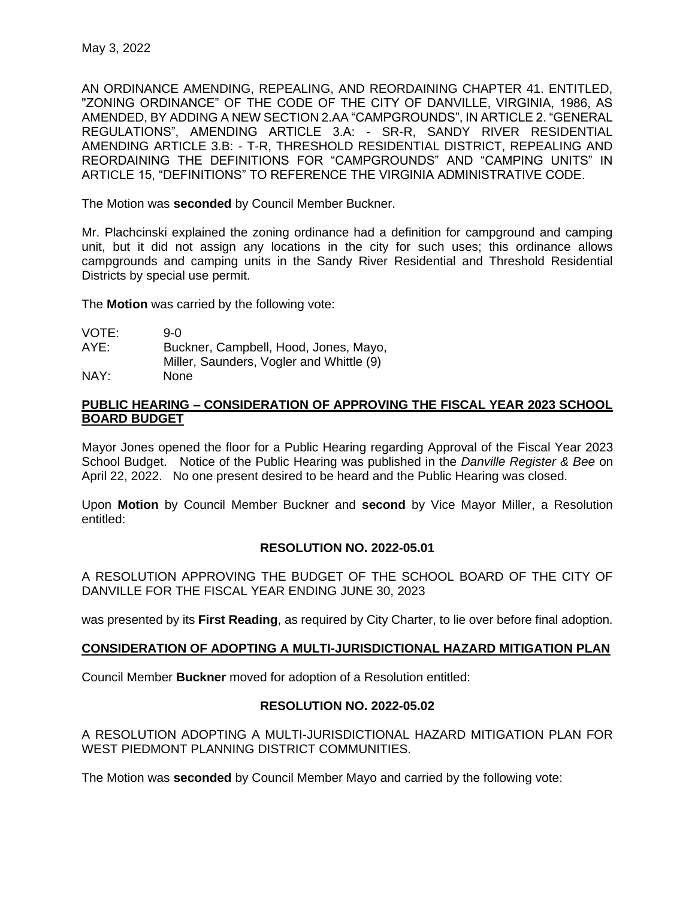AN ORDINANCE AMENDING, REPEALING, AND REORDAINING CHAPTER 41. ENTITLED, "ZONING ORDINANCE" OF THE CODE OF THE CITY OF DANVILLE, VIRGINIA, 1986, AS AMENDED, BY ADDING A NEW SECTION 2.AA "CAMPGROUNDS", IN ARTICLE 2. "GENERAL REGULATIONS", AMENDING ARTICLE 3.A: - SR-R, SANDY RIVER RESIDENTIAL AMENDING ARTICLE 3.B: - T-R, THRESHOLD RESIDENTIAL DISTRICT, REPEALING AND REORDAINING THE DEFINITIONS FOR "CAMPGROUNDS" AND "CAMPING UNITS" IN ARTICLE 15, "DEFINITIONS" TO REFERENCE THE VIRGINIA ADMINISTRATIVE CODE.

The Motion was **seconded** by Council Member Buckner.

Mr. Plachcinski explained the zoning ordinance had a definition for campground and camping unit, but it did not assign any locations in the city for such uses; this ordinance allows campgrounds and camping units in the Sandy River Residential and Threshold Residential Districts by special use permit.

The **Motion** was carried by the following vote:

- VOTE: 9-0 AYE: Buckner, Campbell, Hood, Jones, Mayo,
	- Miller, Saunders, Vogler and Whittle (9)
- NAY: None

# **PUBLIC HEARING – CONSIDERATION OF APPROVING THE FISCAL YEAR 2023 SCHOOL BOARD BUDGET**

Mayor Jones opened the floor for a Public Hearing regarding Approval of the Fiscal Year 2023 School Budget. Notice of the Public Hearing was published in the *Danville Register & Bee* on April 22, 2022. No one present desired to be heard and the Public Hearing was closed.

Upon **Motion** by Council Member Buckner and **second** by Vice Mayor Miller, a Resolution entitled:

# **RESOLUTION NO. 2022-05.01**

A RESOLUTION APPROVING THE BUDGET OF THE SCHOOL BOARD OF THE CITY OF DANVILLE FOR THE FISCAL YEAR ENDING JUNE 30, 2023

was presented by its **First Reading**, as required by City Charter, to lie over before final adoption.

# **CONSIDERATION OF ADOPTING A MULTI-JURISDICTIONAL HAZARD MITIGATION PLAN**

Council Member **Buckner** moved for adoption of a Resolution entitled:

# **RESOLUTION NO. 2022-05.02**

A RESOLUTION ADOPTING A MULTI-JURISDICTIONAL HAZARD MITIGATION PLAN FOR WEST PIEDMONT PLANNING DISTRICT COMMUNITIES.

The Motion was **seconded** by Council Member Mayo and carried by the following vote: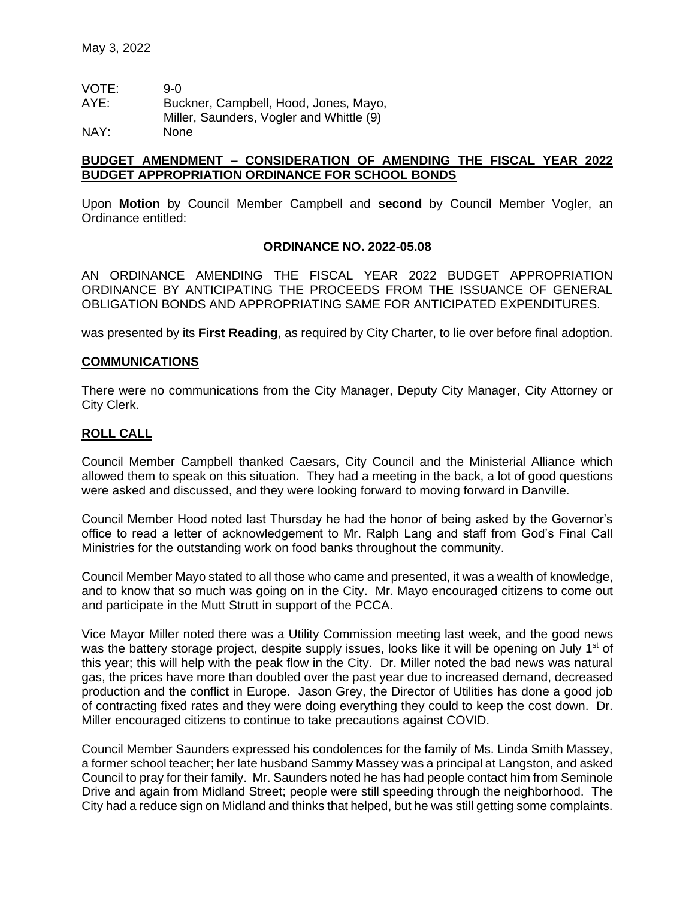| VOTE: | 9-0                                      |
|-------|------------------------------------------|
| AYE:  | Buckner, Campbell, Hood, Jones, Mayo,    |
|       | Miller, Saunders, Vogler and Whittle (9) |
| NAY:  | <b>None</b>                              |

## **BUDGET AMENDMENT – CONSIDERATION OF AMENDING THE FISCAL YEAR 2022 BUDGET APPROPRIATION ORDINANCE FOR SCHOOL BONDS**

Upon **Motion** by Council Member Campbell and **second** by Council Member Vogler, an Ordinance entitled:

### **ORDINANCE NO. 2022-05.08**

AN ORDINANCE AMENDING THE FISCAL YEAR 2022 BUDGET APPROPRIATION ORDINANCE BY ANTICIPATING THE PROCEEDS FROM THE ISSUANCE OF GENERAL OBLIGATION BONDS AND APPROPRIATING SAME FOR ANTICIPATED EXPENDITURES.

was presented by its **First Reading**, as required by City Charter, to lie over before final adoption.

## **COMMUNICATIONS**

There were no communications from the City Manager, Deputy City Manager, City Attorney or City Clerk.

# **ROLL CALL**

Council Member Campbell thanked Caesars, City Council and the Ministerial Alliance which allowed them to speak on this situation. They had a meeting in the back, a lot of good questions were asked and discussed, and they were looking forward to moving forward in Danville.

Council Member Hood noted last Thursday he had the honor of being asked by the Governor's office to read a letter of acknowledgement to Mr. Ralph Lang and staff from God's Final Call Ministries for the outstanding work on food banks throughout the community.

Council Member Mayo stated to all those who came and presented, it was a wealth of knowledge, and to know that so much was going on in the City. Mr. Mayo encouraged citizens to come out and participate in the Mutt Strutt in support of the PCCA.

Vice Mayor Miller noted there was a Utility Commission meeting last week, and the good news was the battery storage project, despite supply issues, looks like it will be opening on July 1<sup>st</sup> of this year; this will help with the peak flow in the City. Dr. Miller noted the bad news was natural gas, the prices have more than doubled over the past year due to increased demand, decreased production and the conflict in Europe. Jason Grey, the Director of Utilities has done a good job of contracting fixed rates and they were doing everything they could to keep the cost down. Dr. Miller encouraged citizens to continue to take precautions against COVID.

Council Member Saunders expressed his condolences for the family of Ms. Linda Smith Massey, a former school teacher; her late husband Sammy Massey was a principal at Langston, and asked Council to pray for their family. Mr. Saunders noted he has had people contact him from Seminole Drive and again from Midland Street; people were still speeding through the neighborhood. The City had a reduce sign on Midland and thinks that helped, but he was still getting some complaints.